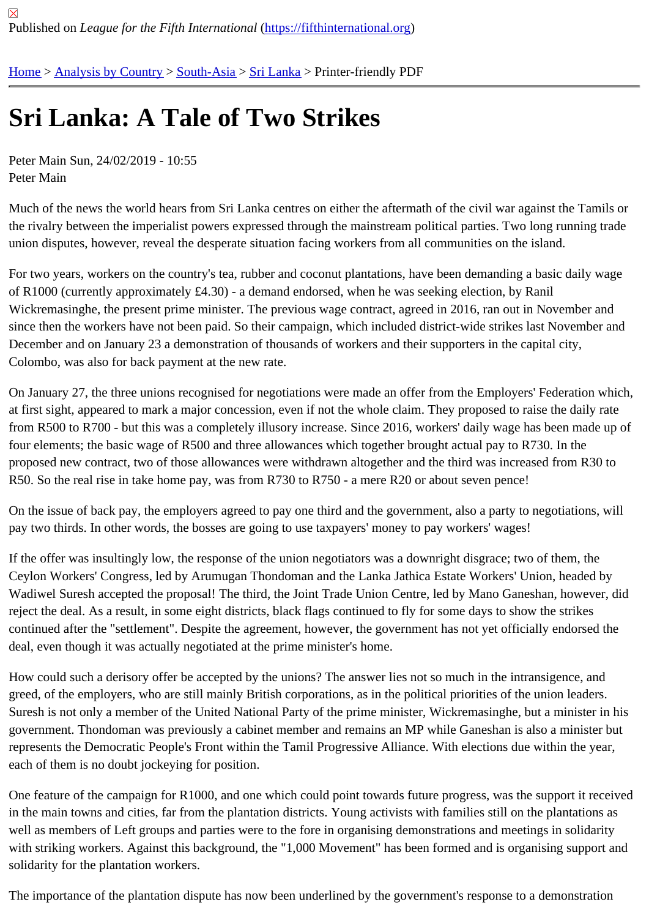## [Sri](https://fifthinternational.org/) [Lanka: A T](https://fifthinternational.org/category/1)[ale of](https://fifthinternational.org/category/1/200) [Two](https://fifthinternational.org/category/1/200/208) Strikes

Peter Main Sun, 24/02/2019 - 10:55 Peter Main

Much of the news the world hears from Sri Lanka centres on either the aftermath of the civil war against the Tamils the rivalry between the imperialist powers expressed through the mainstream political parties. Two long running tra union disputes, however, reveal the desperate situation facing workers from all communities on the island.

For two years, workers on the country's tea, rubber and coconut plantations, have been demanding a basic daily v of R1000 (currently approximately £4.30) - a demand endorsed, when he was seeking election, by Ranil Wickremasinghe, the present prime minister. The previous wage contract, agreed in 2016, ran out in November ar since then the workers have not been paid. So their campaign, which included district-wide strikes last November December and on January 23 a demonstration of thousands of workers and their supporters in the capital city, Colombo, was also for back payment at the new rate.

On January 27, the three unions recognised for negotiations were made an offer from the Employers' Federation v at first sight, appeared to mark a major concession, even if not the whole claim. They proposed to raise the daily ra from R500 to R700 - but this was a completely illusory increase. Since 2016, workers' daily wage has been made four elements; the basic wage of R500 and three allowances which together brought actual pay to R730. In the proposed new contract, two of those allowances were withdrawn altogether and the third was increased from R30 R50. So the real rise in take home pay, was from R730 to R750 - a mere R20 or about seven pence!

On the issue of back pay, the employers agreed to pay one third and the government, also a party to negotiations, pay two thirds. In other words, the bosses are going to use taxpayers' money to pay workers' wages!

If the offer was insultingly low, the response of the union negotiators was a downright disgrace; two of them, the Ceylon Workers' Congress, led by Arumugan Thondoman and the Lanka Jathica Estate Workers' Union, headed b Wadiwel Suresh accepted the proposal! The third, the Joint Trade Union Centre, led by Mano Ganeshan, however reject the deal. As a result, in some eight districts, black flags continued to fly for some days to show the strikes continued after the "settlement". Despite the agreement, however, the government has not yet officially endorsed t deal, even though it was actually negotiated at the prime minister's home.

How could such a derisory offer be accepted by the unions? The answer lies not so much in the intransigence, and greed, of the employers, who are still mainly British corporations, as in the political priorities of the union leaders. Suresh is not only a member of the United National Party of the prime minister, Wickremasinghe, but a minister in government. Thondoman was previously a cabinet member and remains an MP while Ganeshan is also a minister represents the Democratic People's Front within the Tamil Progressive Alliance. With elections due within the year each of them is no doubt jockeying for position.

One feature of the campaign for R1000, and one which could point towards future progress, was the support it rec in the main towns and cities, far from the plantation districts. Young activists with families still on the plantations as well as members of Left groups and parties were to the fore in organising demonstrations and meetings in solidarit with striking workers. Against this background, the "1,000 Movement" has been formed and is organising support a solidarity for the plantation workers.

The importance of the plantation dispute has now been underlined by the government's response to a demonstrati